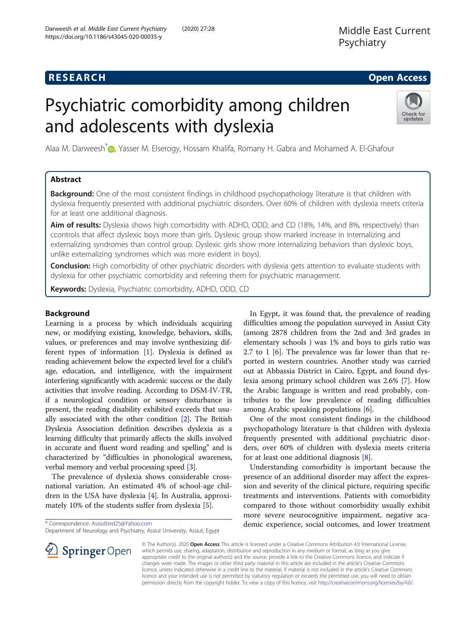# **RESEARCH CHE Open Access**

# Psychiatric comorbidity among children and adolescents with dyslexia



Alaa M. Darweesh\* **D**[,](http://orcid.org/0000-0002-8820-5064) Yasser M. Elserogy, Hossam Khalifa, Romany H. Gabra and Mohamed A. El-Ghafour

# Abstract

**Background:** One of the most consistent findings in childhood psychopathology literature is that children with dyslexia frequently presented with additional psychiatric disorders. Over 60% of children with dyslexia meets criteria for at least one additional diagnosis.

**Aim of results:** Dyslexia shows high comorbidity with ADHD, ODD, and CD (18%, 14%, and 8%, respectively) than ccontrols that affect dyslexic boys more than girls. Dyslexic group show marked increase in internalizing and externalizing syndromes than control group. Dyslexic girls show more internalizing behaviors than dyslexic boys, unlike externalizing syndromes which was more evident in boys).

Conclusion: High comorbidity of other psychiatric disorders with dyslexia gets attention to evaluate students with dyslexia for other psychiatric comorbidity and referring them for psychiatric management.

Keywords: Dyslexia, Psychiatric comorbidity, ADHD, ODD, CD

# Background

Learning is a process by which individuals acquiring new, or modifying existing, knowledge, behaviors, skills, values, or preferences and may involve synthesizing different types of information [[1\]](#page-7-0). Dyslexia is defined as reading achievement below the expected level for a child's age, education, and intelligence, with the impairment interfering significantly with academic success or the daily activities that involve reading. According to DSM-IV-TR, if a neurological condition or sensory disturbance is present, the reading disability exhibited exceeds that usually associated with the other condition [\[2](#page-7-0)]. The British Dyslexia Association definition describes dyslexia as a learning difficulty that primarily affects the skills involved in accurate and fluent word reading and spelling" and is characterized by "difficulties in phonological awareness, verbal memory and verbal processing speed [[3\]](#page-7-0).

The prevalence of dyslexia shows considerable crossnational variation. An estimated 4% of school-age children in the USA have dyslexia [[4](#page-7-0)]. In Australia, approximately 10% of the students suffer from dyslexia [\[5](#page-7-0)].

 $\perp$  Springer Open

In Egypt, it was found that, the prevalence of reading difficulties among the population surveyed in Assiut City (among 2878 children from the 2nd and 3rd grades in elementary schools ) was 1% and boys to girls ratio was 2.7 to 1 [\[6](#page-7-0)]. The prevalence was far lower than that reported in western countries. Another study was carried out at Abbassia District in Cairo, Egypt, and found dyslexia among primary school children was 2.6% [\[7](#page-7-0)]. How the Arabic language is written and read probably, contributes to the low prevalence of reading difficulties among Arabic speaking populations [[6\]](#page-7-0).

One of the most consistent findings in the childhood psychopathology literature is that children with dyslexia frequently presented with additional psychiatric disorders, over 60% of children with dyslexia meets criteria for at least one additional diagnosis [\[8](#page-7-0)].

Understanding comorbidity is important because the presence of an additional disorder may affect the expression and severity of the clinical picture, requiring specific treatments and interventions. Patients with comorbidity compared to those without comorbidity usually exhibit more severe neurocognitive impairment, negative academic experience, social outcomes, and lower treatment

© The Author(s). 2020 Open Access This article is licensed under a Creative Commons Attribution 4.0 International License, which permits use, sharing, adaptation, distribution and reproduction in any medium or format, as long as you give appropriate credit to the original author(s) and the source, provide a link to the Creative Commons licence, and indicate if changes were made. The images or other third party material in this article are included in the article's Creative Commons licence, unless indicated otherwise in a credit line to the material. If material is not included in the article's Creative Commons licence and your intended use is not permitted by statutory regulation or exceeds the permitted use, you will need to obtain permission directly from the copyright holder. To view a copy of this licence, visit <http://creativecommons.org/licenses/by/4.0/>.

<sup>\*</sup> Correspondence: [Assiutbird25@Yahoo.com](mailto:Assiutbird25@Yahoo.com)

Department of Neurology and Psychiatry, Assiut University, Assiut, Egypt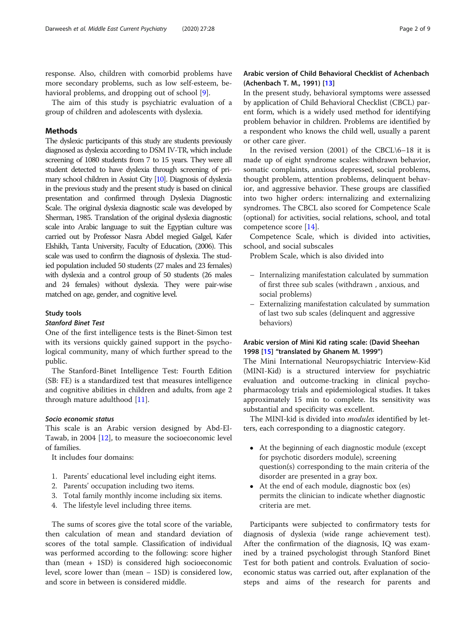response. Also, children with comorbid problems have more secondary problems, such as low self-esteem, behavioral problems, and dropping out of school [\[9](#page-7-0)].

The aim of this study is psychiatric evaluation of a group of children and adolescents with dyslexia.

# Methods

The dyslexic participants of this study are students previously diagnosed as dyslexia according to DSM IV-TR, which include screening of 1080 students from 7 to 15 years. They were all student detected to have dyslexia through screening of primary school children in Assiut City [\[10\]](#page-7-0). Diagnosis of dyslexia in the previous study and the present study is based on clinical presentation and confirmed through Dyslexia Diagnostic Scale. The original dyslexia diagnostic scale was developed by Sherman, 1985. Translation of the original dyslexia diagnostic scale into Arabic language to suit the Egyptian culture was carried out by Professor Nasra Abdel megied Galgel, Kafer Elshikh, Tanta University, Faculty of Education, (2006). This scale was used to confirm the diagnosis of dyslexia. The studied population included 50 students (27 males and 23 females) with dyslexia and a control group of 50 students (26 males and 24 females) without dyslexia. They were pair-wise matched on age, gender, and cognitive level.

#### Study tools

# Stanford Binet Test

One of the first intelligence tests is the Binet-Simon test with its versions quickly gained support in the psychological community, many of which further spread to the public.

The Stanford-Binet Intelligence Test: Fourth Edition (SB: FE) is a standardized test that measures intelligence and cognitive abilities in children and adults, from age 2 through mature adulthood [[11\]](#page-8-0).

#### Socio economic status

This scale is an Arabic version designed by Abd-El-Tawab, in 2004 [\[12\]](#page-8-0), to measure the socioeconomic level of families.

It includes four domains:

- 1. Parents' educational level including eight items.
- 2. Parents' occupation including two items.
- 3. Total family monthly income including six items.
- 4. The lifestyle level including three items.

The sums of scores give the total score of the variable, then calculation of mean and standard deviation of scores of the total sample. Classification of individual was performed according to the following: score higher than (mean + 1SD) is considered high socioeconomic level, score lower than (mean − 1SD) is considered low, and score in between is considered middle.

# Arabic version of Child Behavioral Checklist of Achenbach (Achenbach T. M., 1991) [\[13](#page-8-0)]

In the present study, behavioral symptoms were assessed by application of Child Behavioral Checklist (CBCL) parent form, which is a widely used method for identifying problem behavior in children. Problems are identified by a respondent who knows the child well, usually a parent or other care giver.

In the revised version  $(2001)$  of the CBCL $\setminus$ 6-18 it is made up of eight syndrome scales: withdrawn behavior, somatic complaints, anxious depressed, social problems, thought problem, attention problems, delinquent behavior, and aggressive behavior. These groups are classified into two higher orders: internalizing and externalizing syndromes. The CBCL also scored for Competence Scale (optional) for activities, social relations, school, and total competence score [\[14](#page-8-0)].

Competence Scale, which is divided into activities, school, and social subscales

Problem Scale, which is also divided into

- Internalizing manifestation calculated by summation of first three sub scales (withdrawn , anxious, and social problems)
- Externalizing manifestation calculated by summation of last two sub scales (delinquent and aggressive behaviors)

# Arabic version of Mini Kid rating scale: (David Sheehan 1998 [[15\]](#page-8-0) "translated by Ghanem M. 1999")

The Mini International Neuropsychiatric Interview-Kid (MINI-Kid) is a structured interview for psychiatric evaluation and outcome-tracking in clinical psychopharmacology trials and epidemiological studies. It takes approximately 15 min to complete. Its sensitivity was substantial and specificity was excellent.

The MINI-kid is divided into *modules* identified by letters, each corresponding to a diagnostic category.

- At the beginning of each diagnostic module (except for psychotic disorders module), screening question(s) corresponding to the main criteria of the disorder are presented in a gray box.
- At the end of each module, diagnostic box (es) permits the clinician to indicate whether diagnostic criteria are met.

Participants were subjected to confirmatory tests for diagnosis of dyslexia (wide range achievement test). After the confirmation of the diagnosis, IQ was examined by a trained psychologist through Stanford Binet Test for both patient and controls. Evaluation of socioeconomic status was carried out, after explanation of the steps and aims of the research for parents and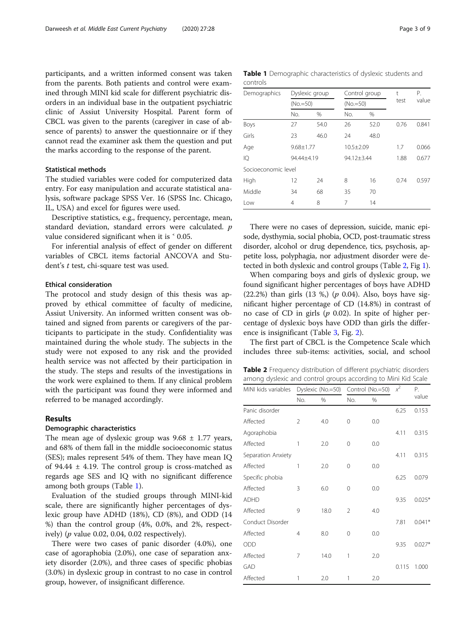participants, and a written informed consent was taken from the parents. Both patients and control were examined through MINI kid scale for different psychiatric disorders in an individual base in the outpatient psychiatric clinic of Assiut University Hospital. Parent form of CBCL was given to the parents (caregiver in case of absence of parents) to answer the questionnaire or if they cannot read the examiner ask them the question and put the marks according to the response of the parent.

# Statistical methods

The studied variables were coded for computerized data entry. For easy manipulation and accurate statistical analysis, software package SPSS Ver. 16 (SPSS Inc. Chicago, IL, USA) and excel for figures were used.

Descriptive statistics, e.g., frequency, percentage, mean, standard deviation, standard errors were calculated. p value considered significant when it is  $\degree$  0.05.

For inferential analysis of effect of gender on different variables of CBCL items factorial ANCOVA and Student's t test, chi-square test was used.

#### Ethical consideration

The protocol and study design of this thesis was approved by ethical committee of faculty of medicine, Assiut University. An informed written consent was obtained and signed from parents or caregivers of the participants to participate in the study. Confidentiality was maintained during the whole study. The subjects in the study were not exposed to any risk and the provided health service was not affected by their participation in the study. The steps and results of the investigations in the work were explained to them. If any clinical problem with the participant was found they were informed and referred to be managed accordingly.

#### Results

### Demographic characteristics

The mean age of dyslexic group was  $9.68 \pm 1.77$  years, and 68% of them fall in the middle socioeconomic status (SES); males represent 54% of them. They have mean IQ of 94.44  $\pm$  4.19. The control group is cross-matched as regards age SES and IQ with no significant difference among both groups (Table 1).

Evaluation of the studied groups through MINI-kid scale, there are significantly higher percentages of dyslexic group have ADHD (18%), CD (8%), and ODD (14 %) than the control group (4%, 0.0%, and 2%, respectively) ( $p$  value 0.02, 0.04, 0.02 respectively).

There were two cases of panic disorder (4.0%), one case of agoraphobia (2.0%), one case of separation anxiety disorder (2.0%), and three cases of specific phobias (3.0%) in dyslexic group in contrast to no case in control group, however, of insignificant difference.

Table 1 Demographic characteristics of dyslexic students and controls

| Demographics        |     | Dyslexic group<br>$(No.=50)$ |     | Control group<br>$(No.=50)$ |      | Р.    |
|---------------------|-----|------------------------------|-----|-----------------------------|------|-------|
|                     |     |                              |     |                             |      | value |
|                     | No. | %                            | No. | %                           |      |       |
| Boys                | 27  | 54.0                         | 26  | 52.0                        | 0.76 | 0.841 |
| Girls               | 23  | 46.0                         | 24  | 48.0                        |      |       |
| Age                 |     | $9.68 \pm 1.77$              |     | $10.5 \pm 2.09$             |      | 0.066 |
| IQ                  |     | 94.44±4.19                   |     | 94.12±3.44                  |      | 0.677 |
| Socioeconomic level |     |                              |     |                             |      |       |
| High                | 12  | 24                           | 8   | 16                          | 0.74 | 0.597 |
| Middle              | 34  | 68                           | 35  | 70                          |      |       |
| Low                 | 4   | 8                            | 7   | 14                          |      |       |

There were no cases of depression, suicide, manic episode, dysthymia, social phobia, OCD, post-traumatic stress disorder, alcohol or drug dependence, tics, psychosis, appetite loss, polyphagia, nor adjustment disorder were detected in both dyslexic and control groups (Table 2, Fig [1](#page-3-0)).

When comparing boys and girls of dyslexic group, we found significant higher percentages of boys have ADHD (22.2%) than girls  $(13 \%) (p \ 0.04)$ . Also, boys have significant higher percentage of CD (14.8%) in contrast of no case of CD in girls  $(p \ 0.02)$ . In spite of higher percentage of dyslexic boys have ODD than girls the difference is insignificant (Table [3](#page-3-0), Fig. [2\)](#page-4-0).

The first part of CBCL is the Competence Scale which includes three sub-items: activities, social, and school

Table 2 Frequency distribution of different psychiatric disorders among dyslexic and control groups according to Mini Kid Scale

| MINI kids variables Dyslexic (No.=50) Control (No.=50) |                |      |                |     | $x^2$ | Р.       |
|--------------------------------------------------------|----------------|------|----------------|-----|-------|----------|
|                                                        | No.            | %    | No.            | %   |       | value    |
| Panic disorder                                         |                |      |                |     | 6.25  | 0.153    |
| Affected                                               | 2              | 4.0  | 0              | 0.0 |       |          |
| Agoraphobia                                            |                |      |                |     | 4.11  | 0.315    |
| Affected                                               | 1              | 2.0  | 0              | 0.0 |       |          |
| Separation Anxiety                                     |                |      |                |     | 4.11  | 0.315    |
| Affected                                               | 1              | 2.0  | $\Omega$       | 0.0 |       |          |
| Specific phobia                                        |                |      |                |     | 6.25  | 0.079    |
| Affected                                               | 3              | 6.0  | $\mathbf 0$    | 0.0 |       |          |
| <b>ADHD</b>                                            |                |      |                |     | 9.35  | $0.025*$ |
| Affected                                               | 9              | 18.0 | $\overline{2}$ | 4.0 |       |          |
| Conduct Disorder                                       |                |      |                |     | 7.81  | $0.041*$ |
| Affected                                               | $\overline{4}$ | 8.0  | 0              | 0.0 |       |          |
| ODD                                                    |                |      |                |     | 9.35  | $0.027*$ |
| Affected                                               | 7              | 14.0 | 1              | 2.0 |       |          |
| GAD                                                    |                |      |                |     | 0.115 | 1.000    |
| Affected                                               | 1              | 2.0  | 1              | 2.0 |       |          |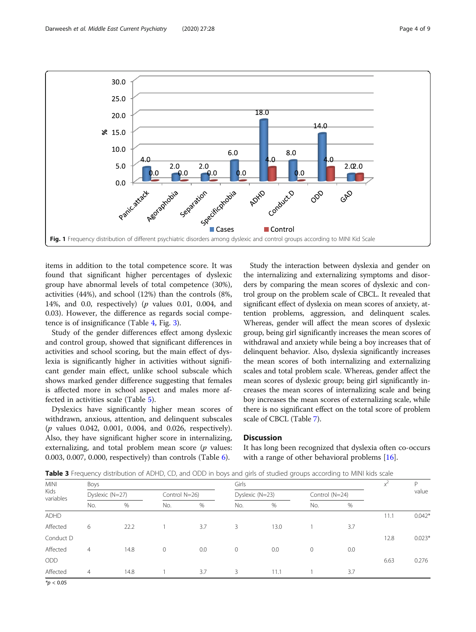<span id="page-3-0"></span>

items in addition to the total competence score. It was found that significant higher percentages of dyslexic group have abnormal levels of total competence (30%), activities (44%), and school (12%) than the controls (8%, 14%, and 0.0, respectively) ( $p$  values 0.01, 0.004, and 0.03). However, the difference as regards social competence is of insignificance (Table [4](#page-4-0), Fig. [3](#page-5-0)).

Study of the gender differences effect among dyslexic and control group, showed that significant differences in activities and school scoring, but the main effect of dyslexia is significantly higher in activities without significant gender main effect, unlike school subscale which shows marked gender difference suggesting that females is affected more in school aspect and males more affected in activities scale (Table [5\)](#page-5-0).

Dyslexics have significantly higher mean scores of withdrawn, anxious, attention, and delinquent subscales (p values 0.042, 0.001, 0.004, and 0.026, respectively). Also, they have significant higher score in internalizing, externalizing, and total problem mean score  $(p$  values: 0.003, 0.007, 0.000, respectively) than controls (Table [6](#page-6-0)).

Study the interaction between dyslexia and gender on the internalizing and externalizing symptoms and disorders by comparing the mean scores of dyslexic and control group on the problem scale of CBCL. It revealed that significant effect of dyslexia on mean scores of anxiety, attention problems, aggression, and delinquent scales. Whereas, gender will affect the mean scores of dyslexic group, being girl significantly increases the mean scores of withdrawal and anxiety while being a boy increases that of delinquent behavior. Also, dyslexia significantly increases the mean scores of both internalizing and externalizing scales and total problem scale. Whereas, gender affect the mean scores of dyslexic group; being girl significantly increases the mean scores of internalizing scale and being boy increases the mean scores of externalizing scale, while there is no significant effect on the total score of problem scale of CBCL (Table [7\)](#page-6-0).

### **Discussion**

It has long been recognized that dyslexia often co-occurs with a range of other behavioral problems [\[16\]](#page-8-0).

| <b>Table 3</b> Frequency distribution of ADHD, CD, and ODD in boys and girls of studied groups according to MINI kids scale |  |  |
|-----------------------------------------------------------------------------------------------------------------------------|--|--|
|                                                                                                                             |  |  |

| <b>MINI</b>                          | Girls<br>Boys  |               |              |                 |              |      |                |     | P     |          |
|--------------------------------------|----------------|---------------|--------------|-----------------|--------------|------|----------------|-----|-------|----------|
| Kids<br>Dyslexic (N=27)<br>variables |                | Control N=26) |              | Dyslexic (N=23) |              |      | Control (N=24) |     | value |          |
|                                      | No.            | %             | No.          | $\%$            | No.          | %    | No.            | %   |       |          |
| <b>ADHD</b>                          |                |               |              |                 |              |      |                |     | 11.1  | $0.042*$ |
| Affected                             | 6              | 22.2          |              | 3.7             | 3            | 13.0 |                | 3.7 |       |          |
| Conduct D                            |                |               |              |                 |              |      |                |     | 12.8  | $0.023*$ |
| Affected                             | $\overline{4}$ | 14.8          | $\mathbf{0}$ | 0.0             | $\mathbf{0}$ | 0.0  | $\circ$        | 0.0 |       |          |
| ODD                                  |                |               |              |                 |              |      |                |     | 6.63  | 0.276    |
| Affected                             | $\overline{4}$ | 14.8          |              | 3.7             | 3            | 11.1 |                | 3.7 |       |          |

 $*p < 0.05$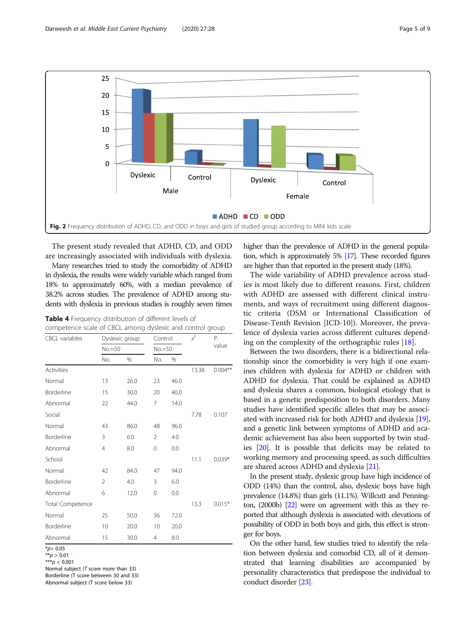<span id="page-4-0"></span>

The present study revealed that ADHD, CD, and ODD are increasingly associated with individuals with dyslexia.

Many researches tried to study the comorbidity of ADHD in dyslexia, the results were widely variable which ranged from 18% to approximately 60%, with a median prevalence of 38.2% across studies. The prevalence of ADHD among students with dyslexia in previous studies is roughly seven times

Table 4 Frequency distribution of different levels of

| competence scale of CBCL among dyslexic and control group |          |                |                |      |       |            |  |
|-----------------------------------------------------------|----------|----------------|----------------|------|-------|------------|--|
| <b>CBCL</b> variables                                     |          | Dyslexic group | Control        |      | $x^2$ | P.         |  |
|                                                           | $No.=50$ |                | $No.=50$       |      |       | value      |  |
|                                                           | No.      | %              | No.            | $\%$ |       |            |  |
| <b>Activities</b>                                         |          |                |                |      | 13.38 | $0.004***$ |  |
| Normal                                                    | 13       | 26.0           | 23             | 46.0 |       |            |  |
| Borderline                                                | 15       | 30.0           | 20             | 40.0 |       |            |  |
| Abnormal                                                  | 22       | 44.0           | 7              | 14.0 |       |            |  |
| Social                                                    |          |                |                |      | 7.78  | 0.107      |  |
| Normal                                                    | 43       | 86.0           | 48             | 96.0 |       |            |  |
| Borderline                                                | 3        | 6.0            | $\mathfrak{D}$ | 4.0  |       |            |  |
| Abnormal                                                  | 4        | 8.0            | $\Omega$       | 0.0  |       |            |  |
| School                                                    |          |                |                |      | 11.1  | $0.039*$   |  |
| Normal                                                    | 42       | 84.0           | 47             | 94.0 |       |            |  |
| Borderline                                                | 2        | 4.0            | 3              | 6.0  |       |            |  |
| Abnormal                                                  | 6        | 12.0           | 0              | 0.0  |       |            |  |
| Total Competence                                          |          |                |                |      | 13.3  | $0.015*$   |  |
| Normal                                                    | 25       | 50.0           | 36             | 72.0 |       |            |  |
| Borderline                                                | 10       | 20.0           | 10             | 20.0 |       |            |  |
| Abnormal                                                  | 15       | 30.0           | 4              | 8.0  |       |            |  |

 $*_{p>0.05}$ 

 $* p > 0.01$ 

 $***p < 0.001$ 

Normal subject ( $T$  score more than 33) Borderline (T score between 30 and 33) Abnormal subject (T score below 33)

higher than the prevalence of ADHD in the general population, which is approximately 5% [\[17\]](#page-8-0). These recorded figures are higher than that reported in the present study (18%).

The wide variability of ADHD prevalence across studies is most likely due to different reasons. First, children with ADHD are assessed with different clinical instruments, and ways of recruitment using different diagnostic criteria (DSM or International Classification of Disease-Tenth Revision [ICD-10]). Moreover, the prevalence of dyslexia varies across different cultures depending on the complexity of the orthographic rules [[18](#page-8-0)].

Between the two disorders, there is a bidirectional relationship since the comorbidity is very high if one examines children with dyslexia for ADHD or children with ADHD for dyslexia. That could be explained as ADHD and dyslexia shares a common, biological etiology that is based in a genetic predisposition to both disorders. Many studies have identified specific alleles that may be associated with increased risk for both ADHD and dyslexia [[19](#page-8-0)], and a genetic link between symptoms of ADHD and academic achievement has also been supported by twin studies [[20\]](#page-8-0). It is possible that deficits may be related to working memory and processing speed, as such difficulties are shared across ADHD and dyslexia [\[21](#page-8-0)].

In the present study, dyslexic group have high incidence of ODD (14%) than the control, also, dyslexic boys have high prevalence (14.8%) than girls (11.1%). Willcutt and Pennington, (2000b) [[22\]](#page-8-0) were on agreement with this as they reported that although dyslexia is associated with elevations of possibility of ODD in both boys and girls, this effect is stronger for boys.

On the other hand, few studies tried to identify the relation between dyslexia and comorbid CD, all of it demonstrated that learning disabilities are accompanied by personality characteristics that predispose the individual to conduct disorder [[23](#page-8-0)].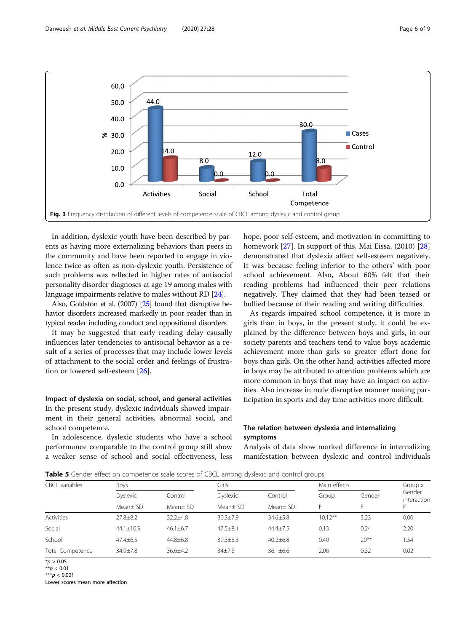<span id="page-5-0"></span>

In addition, dyslexic youth have been described by parents as having more externalizing behaviors than peers in the community and have been reported to engage in violence twice as often as non-dyslexic youth. Persistence of such problems was reflected in higher rates of antisocial personality disorder diagnoses at age 19 among males with language impairments relative to males without RD [[24](#page-8-0)].

Also, Goldston et al. (2007) [\[25](#page-8-0)] found that disruptive behavior disorders increased markedly in poor reader than in typical reader including conduct and oppositional disorders

It may be suggested that early reading delay causally influences later tendencies to antisocial behavior as a result of a series of processes that may include lower levels of attachment to the social order and feelings of frustration or lowered self-esteem [\[26](#page-8-0)].

Impact of dyslexia on social, school, and general activities In the present study, dyslexic individuals showed impairment in their general activities, abnormal social, and school competence.

In adolescence, dyslexic students who have a school performance comparable to the control group still show a weaker sense of school and social effectiveness, less hope, poor self-esteem, and motivation in committing to homework [\[27](#page-8-0)]. In support of this, Mai Eissa, (2010) [[28](#page-8-0)] demonstrated that dyslexia affect self-esteem negatively. It was because feeling inferior to the others' with poor school achievement. Also, About 60% felt that their reading problems had influenced their peer relations negatively. They claimed that they had been teased or bullied because of their reading and writing difficulties.

As regards impaired school competence, it is more in girls than in boys, in the present study, it could be explained by the difference between boys and girls, in our society parents and teachers tend to value boys academic achievement more than girls so greater effort done for boys than girls. On the other hand, activities affected more in boys may be attributed to attention problems which are more common in boys that may have an impact on activities. Also increase in male disruptive manner making participation in sports and day time activities more difficult.

# The relation between dyslexia and internalizing symptoms

Analysis of data show marked difference in internalizing manifestation between dyslexic and control individuals

**Table 5** Gender effect on competence scale scores of CBCL among dyslexic and control groups

| <b>CBCL</b> variables | Boys                        |                     |                             | Girls               |            | Main effects |                       |  |  |
|-----------------------|-----------------------------|---------------------|-----------------------------|---------------------|------------|--------------|-----------------------|--|--|
|                       | <b>Dyslexic</b><br>Mean± SD | Control<br>Mean± SD | <b>Dyslexic</b><br>Mean± SD | Control<br>Mean± SD | Group      | Gender       | Gender<br>interaction |  |  |
|                       |                             |                     |                             |                     |            |              |                       |  |  |
| <b>Activities</b>     | $27.8 \pm 8.2$              | $32.2 + 4.8$        | $30.3 \pm 7.9$              | $34.6 \pm 5.8$      | $10.12***$ | 3.23         | 0.00                  |  |  |
| Social                | $44.1 \pm 10.9$             | $46.1 \pm 6.7$      | $47.5 \pm 8.1$              | $44.4 + 7.5$        | 0.13       | 0.24         | 2.20                  |  |  |
| School                | $47.4 \pm 6.5$              | $44.8 \pm 6.8$      | $39.3 \pm 8.3$              | $40.2 + 6.8$        | 0.40       | $20***$      | 1.54                  |  |  |
| Total Competence      | $34.9 + 7.8$                | $36.6 + 4.2$        | $34+7.3$                    | $36.1 + 6.6$        | 2.06       | 0.32         | 0.02                  |  |  |
|                       |                             |                     |                             |                     |            |              |                       |  |  |

 $*$ p > 0.05

 $A^*p < 0.01$ 

\*\*\* $p < 0.001$ Lower scores mean more affection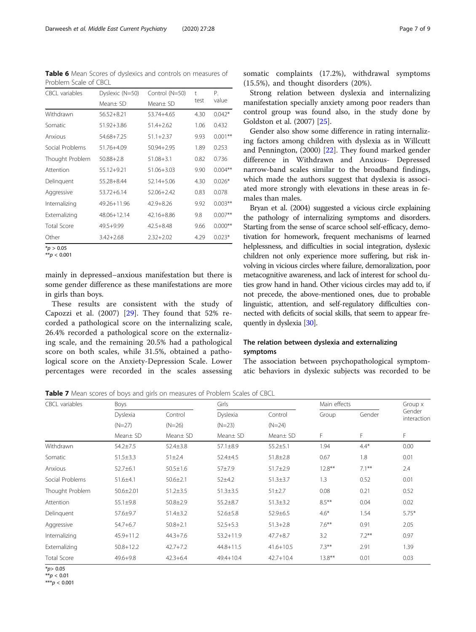<span id="page-6-0"></span>Table 6 Mean Scores of dyslexics and controls on measures of Problem Scale of CBCL

| <b>CBCL</b> variables | Dyslexic (N=50) | Control (N=50) | $\ddagger$ | Р.        |
|-----------------------|-----------------|----------------|------------|-----------|
|                       | Mean± SD        | Mean± SD       | test       | value     |
| Withdrawn             | 56.52+8.21      | 53.74+4.65     | 4.30       | $0.042*$  |
| Somatic               | $51.92 + 3.86$  | $51.4 + 2.62$  | 1.06       | 0.432     |
| Anxious               | 54.68+7.25      | $51.1 + 2.37$  | 9.93       | $0.001**$ |
| Social Problems       | 51.76+4.09      | 50.94+2.95     | 1.89       | 0.253     |
| Thought Problem       | $50.88 + 2.8$   | $51.08 + 3.1$  | 0.82       | 0.736     |
| Attention             | 55.12+9.21      | $51.06 + 3.03$ | 9.90       | $0.004**$ |
| Delinguent            | 55.28+8.44      | $52.14 + 5.06$ | 4.30       | $0.026*$  |
| Aggressive            | 53.72+6.14      | 52.06+2.42     | 0.83       | 0.078     |
| Internalizing         | 49.26+11.96     | $42.9 + 8.26$  | 9.92       | $0.003**$ |
| Externalizing         | 48.06+12.14     | 42.16+8.86     | 9.8        | $0.007**$ |
| Total Score           | 49.5+9.99       | $42.5 + 8.48$  | 9.66       | $0.000**$ |
| Other                 | $3.42 + 2.68$   | $2.32 + 2.02$  | 4.29       | $0.023*$  |
| $*_{n}$ $\sim$ 0.05   |                 |                |            |           |

 $*_{p}$  > 0.05 \*\* $p < 0.001$ 

mainly in depressed–anxious manifestation but there is some gender difference as these manifestations are more in girls than boys.

These results are consistent with the study of Capozzi et al. (2007) [[29\]](#page-8-0). They found that 52% recorded a pathological score on the internalizing scale, 26.4% recorded a pathological score on the externalizing scale, and the remaining 20.5% had a pathological score on both scales, while 31.5%, obtained a pathological score on the Anxiety-Depression Scale. Lower percentages were recorded in the scales assessing somatic complaints (17.2%), withdrawal symptoms (15.5%), and thought disorders (20%).

Strong relation between dyslexia and internalizing manifestation specially anxiety among poor readers than control group was found also, in the study done by Goldston et al. (2007) [[25\]](#page-8-0).

Gender also show some difference in rating internalizing factors among children with dyslexia as in Willcutt and Pennington, (2000) [[22](#page-8-0)]. They found marked gender difference in Withdrawn and Anxious- Depressed narrow-band scales similar to the broadband findings, which made the authors suggest that dyslexia is associated more strongly with elevations in these areas in females than males.

Bryan et al. (2004) suggested a vicious circle explaining the pathology of internalizing symptoms and disorders. Starting from the sense of scarce school self-efficacy, demotivation for homework, frequent mechanisms of learned helplessness, and difficulties in social integration, dyslexic children not only experience more suffering, but risk involving in vicious circles where failure, demoralization, poor metacognitive awareness, and lack of interest for school duties grow hand in hand. Other vicious circles may add to, if not precede, the above-mentioned ones, due to probable linguistic, attention, and self-regulatory difficulties connected with deficits of social skills, that seem to appear frequently in dyslexia [\[30](#page-8-0)].

# The relation between dyslexia and externalizing symptoms

The association between psychopathological symptomatic behaviors in dyslexic subjects was recorded to be

Table 7 Mean scores of boys and girls on measures of Problem Scales of CBCL

| <b>CBCL</b> variables | Boys            |                | Girls          |                |           | Main effects |                       |
|-----------------------|-----------------|----------------|----------------|----------------|-----------|--------------|-----------------------|
|                       | Dyslexia        | Control        | Dyslexia       | Control        | Group     | Gender       | Gender<br>interaction |
|                       | $(N=27)$        | $(N=26)$       | $(N=23)$       | $(N=24)$       |           |              |                       |
|                       | Mean± SD        | Mean± SD       | Mean $\pm$ SD  | Mean $\pm$ SD  | F         | F            | F.                    |
| Withdrawn             | $54.2 \pm 7.5$  | $52.4 \pm 3.8$ | $57.1 \pm 8.9$ | $55.2 \pm 5.1$ | 1.94      | $4.4*$       | 0.00                  |
| Somatic               | $51.5 \pm 3.3$  | $51 \pm 2.4$   | 52.4±4.5       | $51.8 \pm 2.8$ | 0.67      | 1.8          | 0.01                  |
| Anxious               | $52.7 \pm 6.1$  | $50.5 \pm 1.6$ | $57 + 7.9$     | $51.7 \pm 2.9$ | $12.8***$ | $7.1***$     | 2.4                   |
| Social Problems       | $51.6 \pm 4.1$  | $50.6 \pm 2.1$ | $52+4.2$       | $51.3 \pm 3.7$ | 1.3       | 0.52         | 0.01                  |
| Thought Problem       | $50.6 \pm 2.01$ | $51.2 \pm 3.5$ | $51.3 \pm 3.5$ | $51 \pm 2.7$   | 0.08      | 0.21         | 0.52                  |
| Attention             | $55.1 \pm 9.8$  | $50.8 \pm 2.9$ | $55.2 \pm 8.7$ | $51.3 \pm 3.2$ | $8.5***$  | 0.04         | 0.02                  |
| Delinguent            | $57.6 \pm 9.7$  | $51.4 \pm 3.2$ | $52.6 \pm 5.8$ | 52.9±6.5       | $4.6*$    | 1.54         | $5.75*$               |
| Aggressive            | $54.7 + 6.7$    | $50.8 + 2.1$   | $52.5 + 5.3$   | $51.3 + 2.8$   | $7.6***$  | 0.91         | 2.05                  |
| Internalizing         | $45.9 + 11.2$   | $44.3 + 7.6$   | $53.2 + 11.9$  | $47.7 + 8.7$   | 3.2       | $7.2***$     | 0.97                  |
| Externalizing         | $50.8 + 12.2$   | $42.7 + 7.2$   | $44.8 + 11.5$  | $41.6 + 10.5$  | $7.3***$  | 2.91         | 1.39                  |
| Total Score           | $49.6 + 9.8$    | $42.3 + 6.4$   | $49.4 + 10.4$  | $42.7 + 10.4$  | $13.8***$ | 0.01         | 0.03                  |

 $*_{p>0.05}$ 

 $*$ <sub>p</sub> < 0.01

 $***p < 0.001$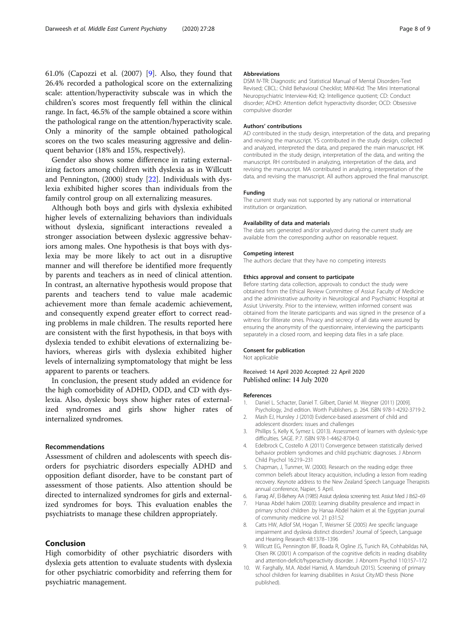<span id="page-7-0"></span>61.0% (Capozzi et al. (2007) [9]. Also, they found that 26.4% recorded a pathological score on the externalizing scale: attention/hyperactivity subscale was in which the children's scores most frequently fell within the clinical range. In fact, 46.5% of the sample obtained a score within the pathological range on the attention/hyperactivity scale. Only a minority of the sample obtained pathological scores on the two scales measuring aggressive and delinquent behavior (18% and 15%, respectively).

Gender also shows some difference in rating externalizing factors among children with dyslexia as in Willcutt and Pennington, (2000) study [[22](#page-8-0)]. Individuals with dyslexia exhibited higher scores than individuals from the family control group on all externalizing measures.

Although both boys and girls with dyslexia exhibited higher levels of externalizing behaviors than individuals without dyslexia, significant interactions revealed a stronger association between dyslexic aggressive behaviors among males. One hypothesis is that boys with dyslexia may be more likely to act out in a disruptive manner and will therefore be identified more frequently by parents and teachers as in need of clinical attention. In contrast, an alternative hypothesis would propose that parents and teachers tend to value male academic achievement more than female academic achievement, and consequently expend greater effort to correct reading problems in male children. The results reported here are consistent with the first hypothesis, in that boys with dyslexia tended to exhibit elevations of externalizing behaviors, whereas girls with dyslexia exhibited higher levels of internalizing symptomatology that might be less apparent to parents or teachers.

In conclusion, the present study added an evidence for the high comorbidity of ADHD, ODD, and CD with dyslexia. Also, dyslexic boys show higher rates of externalized syndromes and girls show higher rates of internalized syndromes.

#### Recommendations

Assessment of children and adolescents with speech disorders for psychiatric disorders especially ADHD and opposition defiant disorder, have to be constant part of assessment of those patients. Also attention should be directed to internalized syndromes for girls and externalized syndromes for boys. This evaluation enables the psychiatrists to manage these children appropriately.

## Conclusion

High comorbidity of other psychiatric disorders with dyslexia gets attention to evaluate students with dyslexia for other psychiatric comorbidity and referring them for psychiatric management.

#### Abbreviations

DSM IV-TR: Diagnostic and Statistical Manual of Mental Disorders-Text Revised; CBCL: Child Behavioral Checklist; MINI-Kid: The Mini International Neuropsychiatric Interview-Kid; IQ: Intelligence quotient; CD: Conduct disorder; ADHD: Attention deficit hyperactivity disorder; OCD: Obsessive compulsive disorder

#### Authors' contributions

AD contributed in the study design, interpretation of the data, and preparing and revising the manuscript. YS contributed in the study design, collected and analyzed, interpreted the data, and prepared the main manuscript. HK contributed in the study design, interpretation of the data, and writing the manuscript. RH contributed in analyzing, interpretation of the data, and revising the manuscript. MA contributed in analyzing, interpretation of the data, and revising the manuscript. All authors approved the final manuscript.

#### Funding

The current study was not supported by any national or international institution or organization.

#### Availability of data and materials

The data sets generated and/or analyzed during the current study are available from the corresponding author on reasonable request.

#### Competing interest

The authors declare that they have no competing interests

#### Ethics approval and consent to participate

Before starting data collection, approvals to conduct the study were obtained from the Ethical Review Committee of Assiut Faculty of Medicine and the administrative authority in Neurological and Psychiatric Hospital at Assiut University. Prior to the interview, written informed consent was obtained from the literate participants and was signed in the presence of a witness for illiterate ones. Privacy and secrecy of all data were assured by ensuring the anonymity of the questionnaire, interviewing the participants separately in a closed room, and keeping data files in a safe place.

#### Consent for publication

Not applicable

#### Received: 14 April 2020 Accepted: 22 April 2020 Published online: 14 July 2020

#### References

- 1. Daniel L. Schacter, Daniel T. Gilbert, Daniel M. Wegner (2011) [2009]. Psychology, 2nd edition. Worth Publishers. p. 264. ISBN 978-1-4292-3719-2.
- 2. Mash EJ, Hunsley J (2010) Evidence-based assessment of child and adolescent disorders: issues and challenges
- 3. Phillips S, Kelly K, Symez L (2013). Assessment of learners with dyslexic-type difficulties. SAGE. P.7. ISBN 978-1-4462-8704-0.
- 4. Edelbrock C, Costello A (2011) Convergence between statistically derived behavior problem syndromes and child psychiatric diagnoses. J Abnorm Child Psychol 16:219–231
- 5. Chapman, J, Tunmer, W. (2000). Research on the reading edge: three common beliefs about literacy acquisition, including a lesson from reading recovery. Keynote address to the New Zealand Speech Language Therapists annual conference, Napier, 5 April.
- 6. Farrag AF, El-Behery AA (1985) Assiut dyslexia screening test. Assiut Med J 8:62–69
- 7. Hanaa Abdel hakim (2003): Learning disability prevalence and impact in primary school children .by Hanaa Abdel hakim et al. the Egyptian journal of community medicine vol. 21 p31:52
- 8. Catts HW, Adlof SM, Hogan T, Weismer SE (2005) Are specific language impairment and dyslexia distinct disorders? Journal of Speech, Language and Hearing Research 48:1378–1396
- 9. Willcutt EG, Pennington BF, Boada R, Ogline JS, Tunich RA, Cohhabildas NA, Olsen RK (2001) A comparison of the cognitive deficits in reading disability and attention-deficit/hyperactivity disorder. J Abnorm Psychol 110:157–172
- 10. W. Farghally, M.A. Abdel Hamid, A. Mamdouh (2015). Screening of primary school children for learning disabilities in Assiut City.MD thesis (None published).